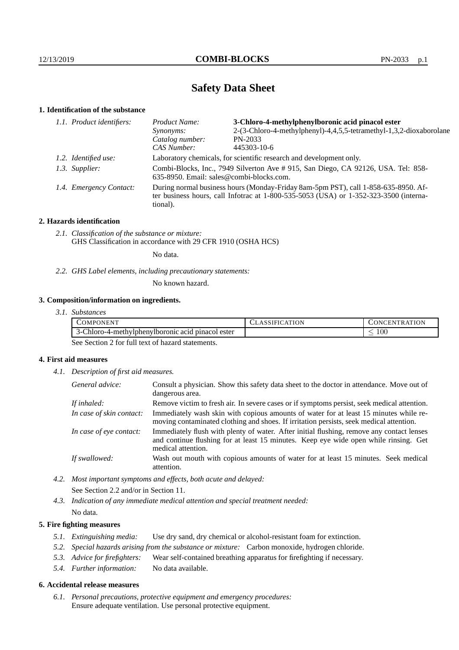# **Safety Data Sheet**

## **1. Identification of the substance**

| 1.1. Product identifiers: | 3-Chloro-4-methylphenylboronic acid pinacol ester<br>Product Name:                                                                                                                      |                                                                     |  |
|---------------------------|-----------------------------------------------------------------------------------------------------------------------------------------------------------------------------------------|---------------------------------------------------------------------|--|
|                           | Synonyms:                                                                                                                                                                               | 2-(3-Chloro-4-methylphenyl)-4,4,5,5-tetramethyl-1,3,2-dioxaborolane |  |
|                           | Catalog number:                                                                                                                                                                         | PN-2033                                                             |  |
|                           | CAS Number:                                                                                                                                                                             | 445303-10-6                                                         |  |
| 1.2. Identified use:      | Laboratory chemicals, for scientific research and development only.                                                                                                                     |                                                                     |  |
| 1.3. Supplier:            | Combi-Blocks, Inc., 7949 Silverton Ave # 915, San Diego, CA 92126, USA. Tel: 858-<br>635-8950. Email: sales@combi-blocks.com.                                                           |                                                                     |  |
| 1.4. Emergency Contact:   | During normal business hours (Monday-Friday 8am-5pm PST), call 1-858-635-8950. Af-<br>ter business hours, call Infotrac at 1-800-535-5053 (USA) or 1-352-323-3500 (interna-<br>tional). |                                                                     |  |
|                           |                                                                                                                                                                                         |                                                                     |  |

## **2. Hazards identification**

*2.1. Classification of the substance or mixture:* GHS Classification in accordance with 29 CFR 1910 (OSHA HCS)

No data.

*2.2. GHS Label elements, including precautionary statements:*

No known hazard.

## **3. Composition/information on ingredients.**

| 3.1. Substances |  |
|-----------------|--|
|                 |  |

| COMPONENT                                                      | ATION<br>1N)<br><b>HN</b><br>к. |
|----------------------------------------------------------------|---------------------------------|
| ester<br>· hloro-4-methylphenylboronic acid_<br>pinacol<br>າ-ເ | $100\,$                         |

See Section 2 for full text of hazard statements.

## **4. First aid measures**

*4.1. Description of first aid measures.*

| General advice:          | Consult a physician. Show this safety data sheet to the doctor in attendance. Move out of<br>dangerous area.                                                                                            |
|--------------------------|---------------------------------------------------------------------------------------------------------------------------------------------------------------------------------------------------------|
| If inhaled:              | Remove victim to fresh air. In severe cases or if symptoms persist, seek medical attention.                                                                                                             |
| In case of skin contact: | Immediately wash skin with copious amounts of water for at least 15 minutes while re-<br>moving contaminated clothing and shoes. If irritation persists, seek medical attention.                        |
| In case of eye contact:  | Immediately flush with plenty of water. After initial flushing, remove any contact lenses<br>and continue flushing for at least 15 minutes. Keep eye wide open while rinsing. Get<br>medical attention. |
| If swallowed:            | Wash out mouth with copious amounts of water for at least 15 minutes. Seek medical<br>attention.                                                                                                        |

*4.2. Most important symptoms and effects, both acute and delayed:* See Section 2.2 and/or in Section 11.

*4.3. Indication of any immediate medical attention and special treatment needed:* No data.

## **5. Fire fighting measures**

- *5.1. Extinguishing media:* Use dry sand, dry chemical or alcohol-resistant foam for extinction.
- *5.2. Special hazards arising from the substance or mixture:* Carbon monoxide, hydrogen chloride.
- *5.3. Advice for firefighters:* Wear self-contained breathing apparatus for firefighting if necessary.
- *5.4. Further information:* No data available.

### **6. Accidental release measures**

*6.1. Personal precautions, protective equipment and emergency procedures:* Ensure adequate ventilation. Use personal protective equipment.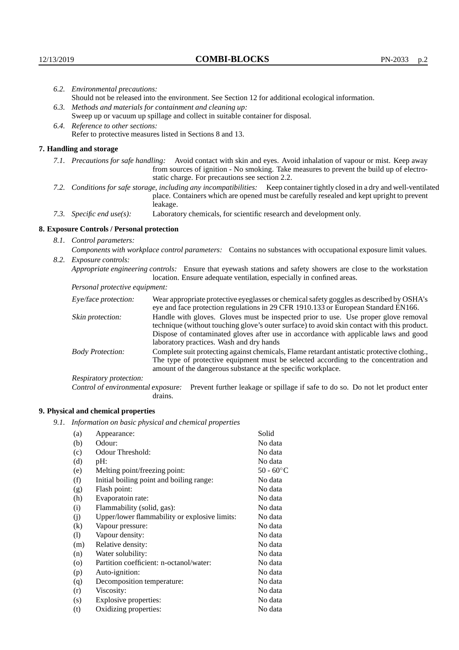|                          | 6.2. Environmental precautions:                                                                                                                                                                                                                                       |                                                                                                                                                                                                                                                                                                                        |  |  |
|--------------------------|-----------------------------------------------------------------------------------------------------------------------------------------------------------------------------------------------------------------------------------------------------------------------|------------------------------------------------------------------------------------------------------------------------------------------------------------------------------------------------------------------------------------------------------------------------------------------------------------------------|--|--|
|                          | Should not be released into the environment. See Section 12 for additional ecological information.                                                                                                                                                                    |                                                                                                                                                                                                                                                                                                                        |  |  |
|                          | 6.3. Methods and materials for containment and cleaning up:                                                                                                                                                                                                           |                                                                                                                                                                                                                                                                                                                        |  |  |
|                          | Sweep up or vacuum up spillage and collect in suitable container for disposal.                                                                                                                                                                                        |                                                                                                                                                                                                                                                                                                                        |  |  |
|                          | 6.4. Reference to other sections:                                                                                                                                                                                                                                     |                                                                                                                                                                                                                                                                                                                        |  |  |
|                          |                                                                                                                                                                                                                                                                       | Refer to protective measures listed in Sections 8 and 13.                                                                                                                                                                                                                                                              |  |  |
|                          | 7. Handling and storage                                                                                                                                                                                                                                               |                                                                                                                                                                                                                                                                                                                        |  |  |
|                          | Avoid contact with skin and eyes. Avoid inhalation of vapour or mist. Keep away<br>7.1. Precautions for safe handling:<br>from sources of ignition - No smoking. Take measures to prevent the build up of electro-<br>static charge. For precautions see section 2.2. |                                                                                                                                                                                                                                                                                                                        |  |  |
|                          |                                                                                                                                                                                                                                                                       | 7.2. Conditions for safe storage, including any incompatibilities: Keep container tightly closed in a dry and well-ventilated<br>place. Containers which are opened must be carefully resealed and kept upright to prevent<br>leakage.                                                                                 |  |  |
|                          | 7.3. Specific end use(s):                                                                                                                                                                                                                                             | Laboratory chemicals, for scientific research and development only.                                                                                                                                                                                                                                                    |  |  |
|                          | 8. Exposure Controls / Personal protection                                                                                                                                                                                                                            |                                                                                                                                                                                                                                                                                                                        |  |  |
| 8.1. Control parameters: |                                                                                                                                                                                                                                                                       |                                                                                                                                                                                                                                                                                                                        |  |  |
|                          |                                                                                                                                                                                                                                                                       | Components with workplace control parameters: Contains no substances with occupational exposure limit values.                                                                                                                                                                                                          |  |  |
|                          | 8.2. Exposure controls:                                                                                                                                                                                                                                               |                                                                                                                                                                                                                                                                                                                        |  |  |
|                          |                                                                                                                                                                                                                                                                       | Appropriate engineering controls: Ensure that eyewash stations and safety showers are close to the workstation<br>location. Ensure adequate ventilation, especially in confined areas.                                                                                                                                 |  |  |
|                          | Personal protective equipment:                                                                                                                                                                                                                                        |                                                                                                                                                                                                                                                                                                                        |  |  |
|                          | Eye/face protection:                                                                                                                                                                                                                                                  | Wear appropriate protective eyeglasses or chemical safety goggles as described by OSHA's<br>eye and face protection regulations in 29 CFR 1910.133 or European Standard EN166.                                                                                                                                         |  |  |
|                          | Skin protection:                                                                                                                                                                                                                                                      | Handle with gloves. Gloves must be inspected prior to use. Use proper glove removal<br>technique (without touching glove's outer surface) to avoid skin contact with this product.<br>Dispose of contaminated gloves after use in accordance with applicable laws and good<br>laboratory practices. Wash and dry hands |  |  |
|                          | <b>Body Protection:</b>                                                                                                                                                                                                                                               | Complete suit protecting against chemicals, Flame retardant antistatic protective clothing.,<br>The type of protective equipment must be selected according to the concentration and<br>amount of the dangerous substance at the specific workplace.                                                                   |  |  |
|                          | Respiratory protection:                                                                                                                                                                                                                                               |                                                                                                                                                                                                                                                                                                                        |  |  |

Control of environmental exposure: Prevent further leakage or spillage if safe to do so. Do not let product enter drains.

# **9. Physical and chemical properties**

*9.1. Information on basic physical and chemical properties*

| (a)       | Appearance:                                   | Solid               |
|-----------|-----------------------------------------------|---------------------|
| (b)       | Odour:                                        | No data             |
| (c)       | Odour Threshold:                              | No data             |
| (d)       | $pH$ :                                        | No data             |
| (e)       | Melting point/freezing point:                 | 50 - $60^{\circ}$ C |
| (f)       | Initial boiling point and boiling range:      | No data             |
| (g)       | Flash point:                                  | No data             |
| (h)       | Evaporatoin rate:                             | No data             |
| (i)       | Flammability (solid, gas):                    | No data             |
| (i)       | Upper/lower flammability or explosive limits: | No data             |
| $\rm(k)$  | Vapour pressure:                              | No data             |
| (1)       | Vapour density:                               | No data             |
| (m)       | Relative density:                             | No data             |
| (n)       | Water solubility:                             | No data             |
| $\rm (o)$ | Partition coefficient: n-octanol/water:       | No data             |
| (p)       | Auto-ignition:                                | No data             |
| (q)       | Decomposition temperature:                    | No data             |
| (r)       | Viscosity:                                    | No data             |
| (s)       | Explosive properties:                         | No data             |
| (t)       | Oxidizing properties:                         | No data             |